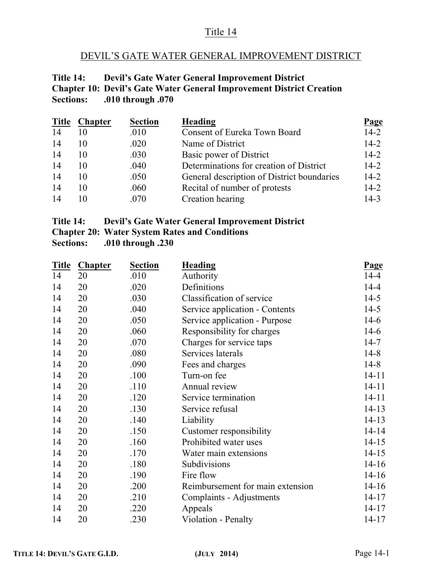# Title 14

# DEVIL'S GATE WATER GENERAL IMPROVEMENT DISTRICT

## **Title 14: Devil's Gate Water General Improvement District Chapter 10: Devil's Gate Water General Improvement District Creation Sections: .010 through .070**

| <b>Title</b> | <b>Chapter</b> | <b>Section</b> | Heading                                    | Page     |
|--------------|----------------|----------------|--------------------------------------------|----------|
| 14           | 10             | .010           | Consent of Eureka Town Board               | $14 - 2$ |
| 14           | 10             | .020           | Name of District                           | $14 - 2$ |
| 14           | 10             | .030           | Basic power of District                    | $14 - 2$ |
| 14           | 10             | .040           | Determinations for creation of District    | $14 - 2$ |
| 14           | 10             | .050           | General description of District boundaries | $14 - 2$ |
| 14           | 10             | .060           | Recital of number of protests              | $14 - 2$ |
| 14           | 10             | .070           | Creation hearing                           | $14 - 3$ |

| Title 14: |  |  |  | Devil's Gate Water General Improvement District |  |
|-----------|--|--|--|-------------------------------------------------|--|
|-----------|--|--|--|-------------------------------------------------|--|

# **Chapter 20: Water System Rates and Conditions**

**Sections: .010 through .230**

| <b>Title</b> | <b>Chapter</b> | <b>Section</b> | <b>Heading</b>                   | <b>Page</b> |
|--------------|----------------|----------------|----------------------------------|-------------|
| 14           | 20             | .010           | Authority                        | $14 - 4$    |
| 14           | 20             | .020           | Definitions                      | $14 - 4$    |
| 14           | 20             | .030           | Classification of service        | $14 - 5$    |
| 14           | 20             | .040           | Service application - Contents   | $14-5$      |
| 14           | 20             | .050           | Service application - Purpose    | $14-6$      |
| 14           | 20             | .060           | Responsibility for charges       | $14-6$      |
| 14           | 20             | .070           | Charges for service taps         | $14 - 7$    |
| 14           | 20             | .080           | Services laterals                | $14 - 8$    |
| 14           | 20             | .090           | Fees and charges                 | $14 - 8$    |
| 14           | 20             | .100           | Turn-on fee                      | $14 - 11$   |
| 14           | 20             | .110           | Annual review                    | $14 - 11$   |
| 14           | 20             | .120           | Service termination              | $14 - 11$   |
| 14           | 20             | .130           | Service refusal                  | $14 - 13$   |
| 14           | 20             | .140           | Liability                        | $14 - 13$   |
| 14           | 20             | .150           | Customer responsibility          | $14 - 14$   |
| 14           | 20             | .160           | Prohibited water uses            | $14 - 15$   |
| 14           | 20             | .170           | Water main extensions            | $14 - 15$   |
| 14           | 20             | .180           | Subdivisions                     | $14 - 16$   |
| 14           | 20             | .190           | Fire flow                        | $14 - 16$   |
| 14           | 20             | .200           | Reimbursement for main extension | $14 - 16$   |
| 14           | 20             | .210           | Complaints - Adjustments         | $14 - 17$   |
| 14           | 20             | .220           | Appeals                          | $14 - 17$   |
| 14           | 20             | .230           | Violation - Penalty              | $14 - 17$   |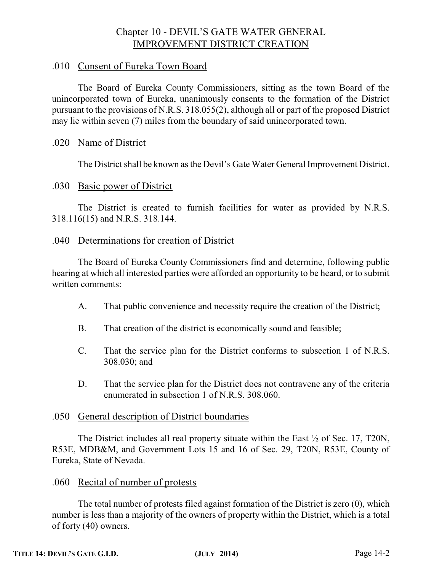# Chapter 10 - DEVIL'S GATE WATER GENERAL IMPROVEMENT DISTRICT CREATION

## .010 Consent of Eureka Town Board

The Board of Eureka County Commissioners, sitting as the town Board of the unincorporated town of Eureka, unanimously consents to the formation of the District pursuant to the provisions of N.R.S. 318.055(2), although all or part of the proposed District may lie within seven (7) miles from the boundary of said unincorporated town.

## .020 Name of District

The District shall be known as the Devil's Gate Water General Improvement District.

# .030 Basic power of District

The District is created to furnish facilities for water as provided by N.R.S. 318.116(15) and N.R.S. 318.144.

# .040 Determinations for creation of District

The Board of Eureka County Commissioners find and determine, following public hearing at which all interested parties were afforded an opportunity to be heard, or to submit written comments:

- A. That public convenience and necessity require the creation of the District;
- B. That creation of the district is economically sound and feasible;
- C. That the service plan for the District conforms to subsection 1 of N.R.S. 308.030; and
- D. That the service plan for the District does not contravene any of the criteria enumerated in subsection 1 of N.R.S. 308.060.

## .050 General description of District boundaries

The District includes all real property situate within the East ½ of Sec. 17, T20N, R53E, MDB&M, and Government Lots 15 and 16 of Sec. 29, T20N, R53E, County of Eureka, State of Nevada.

## .060 Recital of number of protests

The total number of protests filed against formation of the District is zero (0), which number is less than a majority of the owners of property within the District, which is a total of forty (40) owners.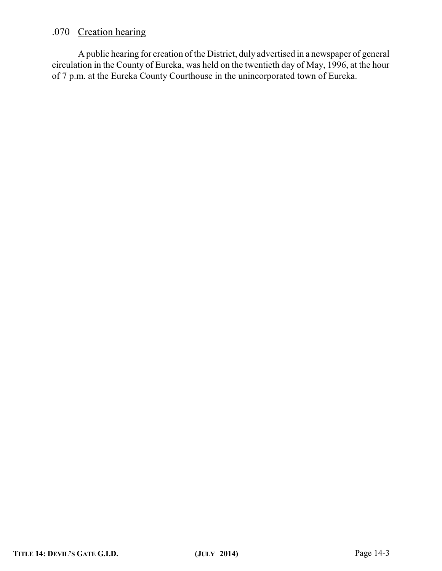# .070 Creation hearing

A public hearing for creation of the District, duly advertised in a newspaper of general circulation in the County of Eureka, was held on the twentieth day of May, 1996, at the hour of 7 p.m. at the Eureka County Courthouse in the unincorporated town of Eureka.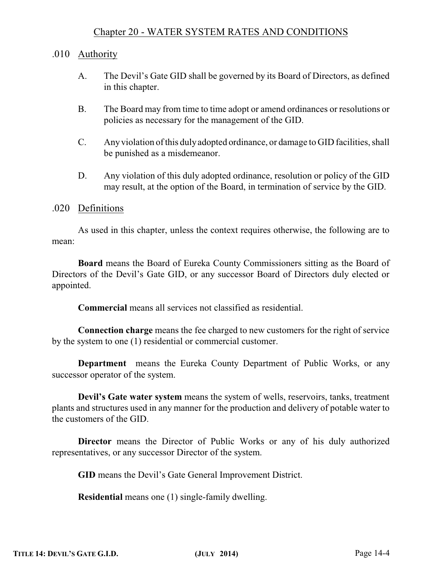# Chapter 20 - WATER SYSTEM RATES AND CONDITIONS

#### .010 Authority

- A. The Devil's Gate GID shall be governed by its Board of Directors, as defined in this chapter.
- B. The Board may from time to time adopt or amend ordinances or resolutions or policies as necessary for the management of the GID.
- C. Anyviolation ofthis dulyadopted ordinance, or damage to GID facilities, shall be punished as a misdemeanor.
- D. Any violation of this duly adopted ordinance, resolution or policy of the GID may result, at the option of the Board, in termination of service by the GID.

#### .020 Definitions

As used in this chapter, unless the context requires otherwise, the following are to mean:

**Board** means the Board of Eureka County Commissioners sitting as the Board of Directors of the Devil's Gate GID, or any successor Board of Directors duly elected or appointed.

**Commercial** means all services not classified as residential.

**Connection charge** means the fee charged to new customers for the right of service by the system to one (1) residential or commercial customer.

**Department** means the Eureka County Department of Public Works, or any successor operator of the system.

**Devil's Gate water system** means the system of wells, reservoirs, tanks, treatment plants and structures used in any manner for the production and delivery of potable water to the customers of the GID.

**Director** means the Director of Public Works or any of his duly authorized representatives, or any successor Director of the system.

**GID** means the Devil's Gate General Improvement District.

**Residential** means one (1) single-family dwelling.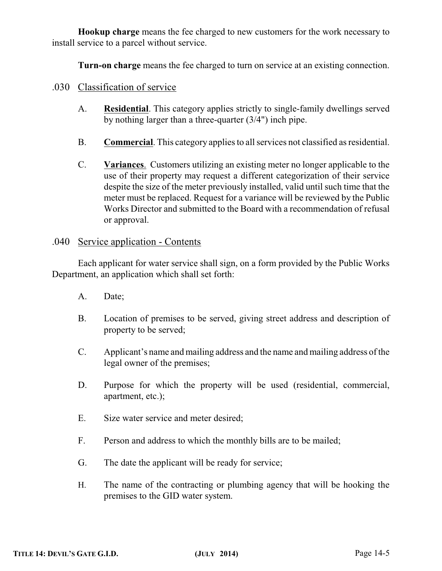**Hookup charge** means the fee charged to new customers for the work necessary to install service to a parcel without service.

**Turn-on charge** means the fee charged to turn on service at an existing connection.

- .030 Classification of service
	- A. **Residential**. This category applies strictly to single-family dwellings served by nothing larger than a three-quarter (3/4") inch pipe.
	- B. **Commercial**. This category applies to all services not classified as residential.
	- C. **Variances**. Customers utilizing an existing meter no longer applicable to the use of their property may request a different categorization of their service despite the size of the meter previously installed, valid until such time that the meter must be replaced. Request for a variance will be reviewed by the Public Works Director and submitted to the Board with a recommendation of refusal or approval.

#### .040 Service application - Contents

Each applicant for water service shall sign, on a form provided by the Public Works Department, an application which shall set forth:

- A. Date;
- B. Location of premises to be served, giving street address and description of property to be served;
- C. Applicant's name and mailing address and the name and mailing address ofthe legal owner of the premises;
- D. Purpose for which the property will be used (residential, commercial, apartment, etc.);
- E. Size water service and meter desired;
- F. Person and address to which the monthly bills are to be mailed;
- G. The date the applicant will be ready for service;
- H. The name of the contracting or plumbing agency that will be hooking the premises to the GID water system.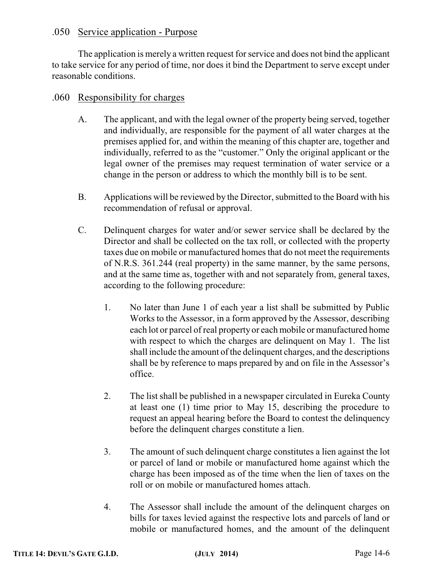## .050 Service application - Purpose

The application is merely a written request for service and does not bind the applicant to take service for any period of time, nor does it bind the Department to serve except under reasonable conditions.

### .060 Responsibility for charges

- A. The applicant, and with the legal owner of the property being served, together and individually, are responsible for the payment of all water charges at the premises applied for, and within the meaning of this chapter are, together and individually, referred to as the "customer." Only the original applicant or the legal owner of the premises may request termination of water service or a change in the person or address to which the monthly bill is to be sent.
- B. Applications will be reviewed by the Director, submitted to the Board with his recommendation of refusal or approval.
- C. Delinquent charges for water and/or sewer service shall be declared by the Director and shall be collected on the tax roll, or collected with the property taxes due on mobile or manufactured homes that do not meet the requirements of N.R.S. 361.244 (real property) in the same manner, by the same persons, and at the same time as, together with and not separately from, general taxes, according to the following procedure:
	- 1. No later than June 1 of each year a list shall be submitted by Public Works to the Assessor, in a form approved by the Assessor, describing each lot or parcel of real property or each mobile or manufactured home with respect to which the charges are delinquent on May 1. The list shall include the amount of the delinquent charges, and the descriptions shall be by reference to maps prepared by and on file in the Assessor's office.
	- 2. The list shall be published in a newspaper circulated in Eureka County at least one (1) time prior to May 15, describing the procedure to request an appeal hearing before the Board to contest the delinquency before the delinquent charges constitute a lien.
	- 3. The amount of such delinquent charge constitutes a lien against the lot or parcel of land or mobile or manufactured home against which the charge has been imposed as of the time when the lien of taxes on the roll or on mobile or manufactured homes attach.
	- 4. The Assessor shall include the amount of the delinquent charges on bills for taxes levied against the respective lots and parcels of land or mobile or manufactured homes, and the amount of the delinquent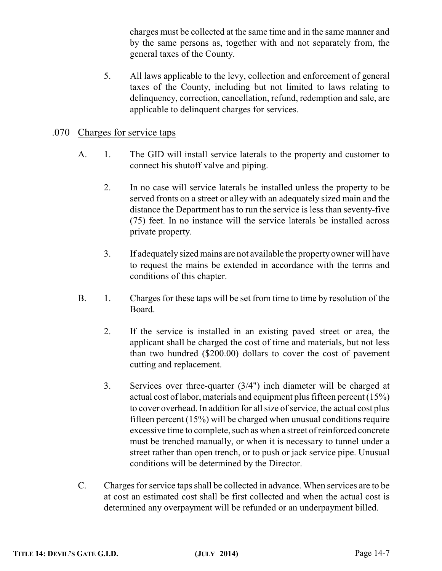charges must be collected at the same time and in the same manner and by the same persons as, together with and not separately from, the general taxes of the County.

5. All laws applicable to the levy, collection and enforcement of general taxes of the County, including but not limited to laws relating to delinquency, correction, cancellation, refund, redemption and sale, are applicable to delinquent charges for services.

## .070 Charges for service taps

- A. 1. The GID will install service laterals to the property and customer to connect his shutoff valve and piping.
	- 2. In no case will service laterals be installed unless the property to be served fronts on a street or alley with an adequately sized main and the distance the Department has to run the service is less than seventy-five (75) feet. In no instance will the service laterals be installed across private property.
	- 3. If adequately sized mains are not available the property owner will have to request the mains be extended in accordance with the terms and conditions of this chapter.
- B. 1. Charges for these taps will be set from time to time by resolution of the Board.
	- 2. If the service is installed in an existing paved street or area, the applicant shall be charged the cost of time and materials, but not less than two hundred (\$200.00) dollars to cover the cost of pavement cutting and replacement.
	- 3. Services over three-quarter (3/4") inch diameter will be charged at actual cost of labor, materials and equipment plus fifteen percent (15%) to cover overhead. In addition for all size of service, the actual cost plus fifteen percent (15%) will be charged when unusual conditions require excessive time to complete, such as when a street of reinforced concrete must be trenched manually, or when it is necessary to tunnel under a street rather than open trench, or to push or jack service pipe. Unusual conditions will be determined by the Director.
- C. Charges for service taps shall be collected in advance. When services are to be at cost an estimated cost shall be first collected and when the actual cost is determined any overpayment will be refunded or an underpayment billed.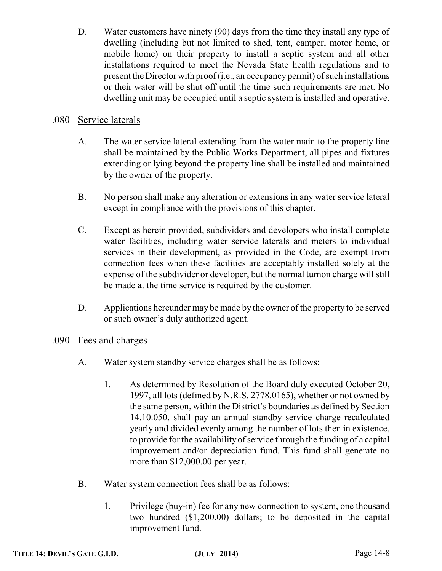D. Water customers have ninety (90) days from the time they install any type of dwelling (including but not limited to shed, tent, camper, motor home, or mobile home) on their property to install a septic system and all other installations required to meet the Nevada State health regulations and to present the Director with proof (i.e., an occupancy permit) of such installations or their water will be shut off until the time such requirements are met. No dwelling unit may be occupied until a septic system is installed and operative.

# .080 Service laterals

- A. The water service lateral extending from the water main to the property line shall be maintained by the Public Works Department, all pipes and fixtures extending or lying beyond the property line shall be installed and maintained by the owner of the property.
- B. No person shall make any alteration or extensions in any water service lateral except in compliance with the provisions of this chapter.
- C. Except as herein provided, subdividers and developers who install complete water facilities, including water service laterals and meters to individual services in their development, as provided in the Code, are exempt from connection fees when these facilities are acceptably installed solely at the expense of the subdivider or developer, but the normal turnon charge will still be made at the time service is required by the customer.
- D. Applications hereunder may be made by the owner of the property to be served or such owner's duly authorized agent.
- .090 Fees and charges
	- A. Water system standby service charges shall be as follows:
		- 1. As determined by Resolution of the Board duly executed October 20, 1997, all lots (defined by N.R.S. 2778.0165), whether or not owned by the same person, within the District's boundaries as defined by Section 14.10.050, shall pay an annual standby service charge recalculated yearly and divided evenly among the number of lots then in existence, to provide for the availability of service through the funding of a capital improvement and/or depreciation fund. This fund shall generate no more than \$12,000.00 per year.
	- B. Water system connection fees shall be as follows:
		- 1. Privilege (buy-in) fee for any new connection to system, one thousand two hundred (\$1,200.00) dollars; to be deposited in the capital improvement fund.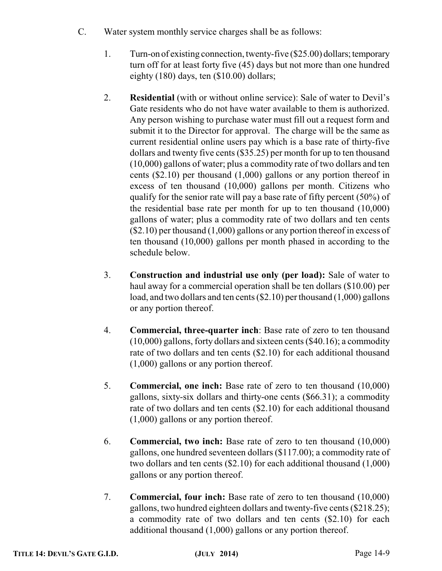- C. Water system monthly service charges shall be as follows:
	- 1. Turn-on of existing connection, twenty-five (\$25.00) dollars;temporary turn off for at least forty five (45) days but not more than one hundred eighty (180) days, ten (\$10.00) dollars;
	- 2. **Residential** (with or without online service): Sale of water to Devil's Gate residents who do not have water available to them is authorized. Any person wishing to purchase water must fill out a request form and submit it to the Director for approval. The charge will be the same as current residential online users pay which is a base rate of thirty-five dollars and twenty five cents (\$35.25) per month for up to ten thousand (10,000) gallons of water; plus a commodity rate of two dollars and ten cents (\$2.10) per thousand (1,000) gallons or any portion thereof in excess of ten thousand (10,000) gallons per month. Citizens who qualify for the senior rate will pay a base rate of fifty percent (50%) of the residential base rate per month for up to ten thousand (10,000) gallons of water; plus a commodity rate of two dollars and ten cents (\$2.10) per thousand (1,000) gallons or any portion thereof in excess of ten thousand (10,000) gallons per month phased in according to the schedule below.
	- 3. **Construction and industrial use only (per load):** Sale of water to haul away for a commercial operation shall be ten dollars (\$10.00) per load, and two dollars and ten cents (\$2.10) per thousand (1,000) gallons or any portion thereof.
	- 4. **Commercial, three-quarter inch**: Base rate of zero to ten thousand (10,000) gallons, forty dollars and sixteen cents (\$40.16); a commodity rate of two dollars and ten cents (\$2.10) for each additional thousand (1,000) gallons or any portion thereof.
	- 5. **Commercial, one inch:** Base rate of zero to ten thousand (10,000) gallons, sixty-six dollars and thirty-one cents (\$66.31); a commodity rate of two dollars and ten cents (\$2.10) for each additional thousand (1,000) gallons or any portion thereof.
	- 6. **Commercial, two inch:** Base rate of zero to ten thousand (10,000) gallons, one hundred seventeen dollars (\$117.00); a commodity rate of two dollars and ten cents (\$2.10) for each additional thousand (1,000) gallons or any portion thereof.
	- 7. **Commercial, four inch:** Base rate of zero to ten thousand (10,000) gallons, two hundred eighteen dollars and twenty-five cents (\$218.25); a commodity rate of two dollars and ten cents (\$2.10) for each additional thousand (1,000) gallons or any portion thereof.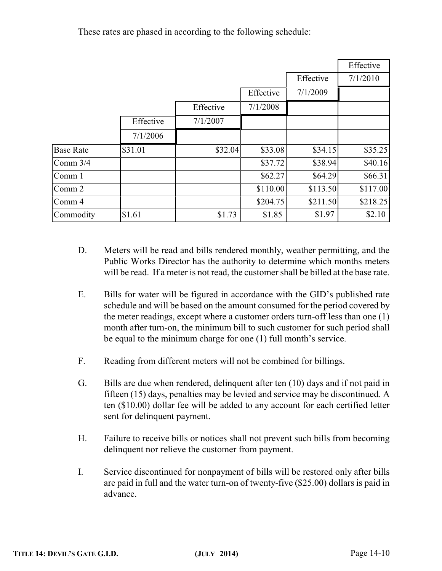These rates are phased in according to the following schedule:

|                  |           |           |           |           | Effective |
|------------------|-----------|-----------|-----------|-----------|-----------|
|                  |           |           |           | Effective | 7/1/2010  |
|                  |           |           | Effective | 7/1/2009  |           |
|                  |           | Effective | 7/1/2008  |           |           |
|                  | Effective | 7/1/2007  |           |           |           |
|                  | 7/1/2006  |           |           |           |           |
| <b>Base Rate</b> | \$31.01   | \$32.04   | \$33.08   | \$34.15   | \$35.25   |
| Comm 3/4         |           |           | \$37.72   | \$38.94   | \$40.16   |
| Comm 1           |           |           | \$62.27   | \$64.29   | \$66.31   |
| Comm 2           |           |           | \$110.00  | \$113.50  | \$117.00  |
| Comm 4           |           |           | \$204.75  | \$211.50  | \$218.25  |
| Commodity        | \$1.61    | \$1.73    | \$1.85    | \$1.97    | \$2.10    |

- D. Meters will be read and bills rendered monthly, weather permitting, and the Public Works Director has the authority to determine which months meters will be read. If a meter is not read, the customer shall be billed at the base rate.
- E. Bills for water will be figured in accordance with the GID's published rate schedule and will be based on the amount consumed for the period covered by the meter readings, except where a customer orders turn-off less than one (1) month after turn-on, the minimum bill to such customer for such period shall be equal to the minimum charge for one (1) full month's service.
- F. Reading from different meters will not be combined for billings.
- G. Bills are due when rendered, delinquent after ten (10) days and if not paid in fifteen (15) days, penalties may be levied and service may be discontinued. A ten (\$10.00) dollar fee will be added to any account for each certified letter sent for delinquent payment.
- H. Failure to receive bills or notices shall not prevent such bills from becoming delinquent nor relieve the customer from payment.
- I. Service discontinued for nonpayment of bills will be restored only after bills are paid in full and the water turn-on of twenty-five (\$25.00) dollars is paid in advance.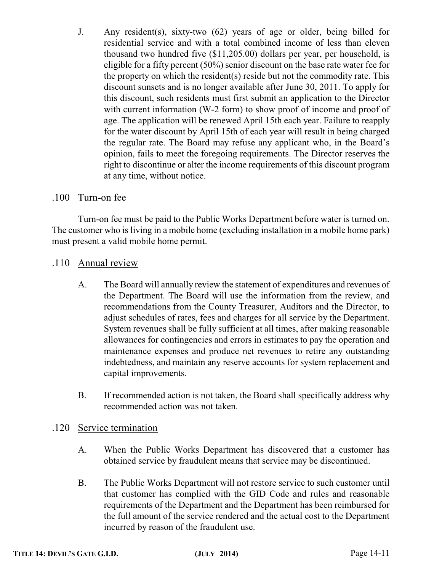J. Any resident(s), sixty-two (62) years of age or older, being billed for residential service and with a total combined income of less than eleven thousand two hundred five (\$11,205.00) dollars per year, per household, is eligible for a fifty percent (50%) senior discount on the base rate water fee for the property on which the resident(s) reside but not the commodity rate. This discount sunsets and is no longer available after June 30, 2011. To apply for this discount, such residents must first submit an application to the Director with current information (W-2 form) to show proof of income and proof of age. The application will be renewed April 15th each year. Failure to reapply for the water discount by April 15th of each year will result in being charged the regular rate. The Board may refuse any applicant who, in the Board's opinion, fails to meet the foregoing requirements. The Director reserves the right to discontinue or alter the income requirements of this discount program at any time, without notice.

#### .100 Turn-on fee

Turn-on fee must be paid to the Public Works Department before water is turned on. The customer who is living in a mobile home (excluding installation in a mobile home park) must present a valid mobile home permit.

#### .110 Annual review

- A. The Board will annually review the statement of expenditures and revenues of the Department. The Board will use the information from the review, and recommendations from the County Treasurer, Auditors and the Director, to adjust schedules of rates, fees and charges for all service by the Department. System revenues shall be fully sufficient at all times, after making reasonable allowances for contingencies and errors in estimates to pay the operation and maintenance expenses and produce net revenues to retire any outstanding indebtedness, and maintain any reserve accounts for system replacement and capital improvements.
- B. If recommended action is not taken, the Board shall specifically address why recommended action was not taken.

#### .120 Service termination

- A. When the Public Works Department has discovered that a customer has obtained service by fraudulent means that service may be discontinued.
- B. The Public Works Department will not restore service to such customer until that customer has complied with the GID Code and rules and reasonable requirements of the Department and the Department has been reimbursed for the full amount of the service rendered and the actual cost to the Department incurred by reason of the fraudulent use.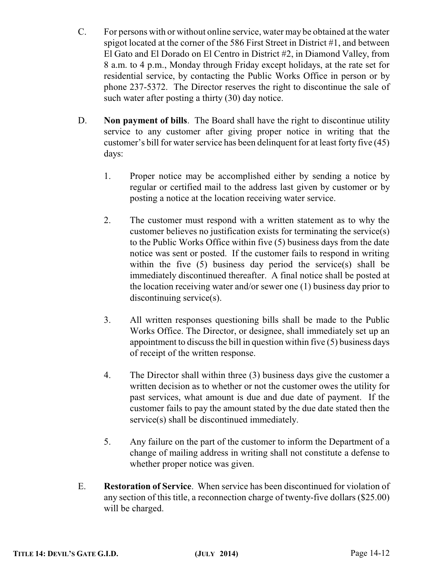- C. For persons with or without online service, water may be obtained at the water spigot located at the corner of the 586 First Street in District #1, and between El Gato and El Dorado on El Centro in District #2, in Diamond Valley, from 8 a.m. to 4 p.m., Monday through Friday except holidays, at the rate set for residential service, by contacting the Public Works Office in person or by phone 237-5372. The Director reserves the right to discontinue the sale of such water after posting a thirty (30) day notice.
- D. **Non payment of bills**. The Board shall have the right to discontinue utility service to any customer after giving proper notice in writing that the customer's bill for water service has been delinquent for at least forty five (45) days:
	- 1. Proper notice may be accomplished either by sending a notice by regular or certified mail to the address last given by customer or by posting a notice at the location receiving water service.
	- 2. The customer must respond with a written statement as to why the customer believes no justification exists for terminating the service(s) to the Public Works Office within five (5) business days from the date notice was sent or posted. If the customer fails to respond in writing within the five (5) business day period the service(s) shall be immediately discontinued thereafter. A final notice shall be posted at the location receiving water and/or sewer one (1) business day prior to discontinuing service(s).
	- 3. All written responses questioning bills shall be made to the Public Works Office. The Director, or designee, shall immediately set up an appointment to discuss the bill in question within five (5) business days of receipt of the written response.
	- 4. The Director shall within three (3) business days give the customer a written decision as to whether or not the customer owes the utility for past services, what amount is due and due date of payment. If the customer fails to pay the amount stated by the due date stated then the service(s) shall be discontinued immediately.
	- 5. Any failure on the part of the customer to inform the Department of a change of mailing address in writing shall not constitute a defense to whether proper notice was given.
- E. **Restoration of Service**. When service has been discontinued for violation of any section of this title, a reconnection charge of twenty-five dollars (\$25.00) will be charged.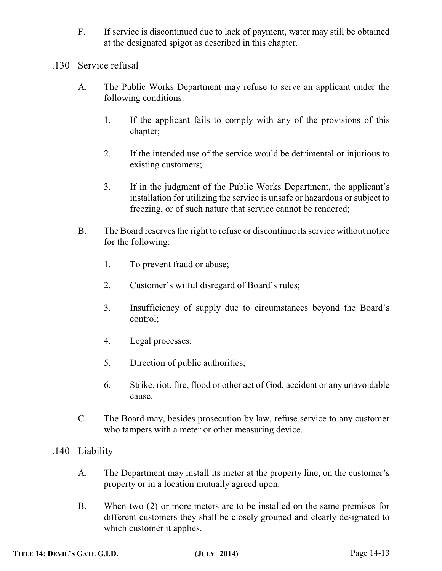- F. If service is discontinued due to lack of payment, water may still be obtained at the designated spigot as described in this chapter.
- .130 Service refusal
	- A. The Public Works Department may refuse to serve an applicant under the following conditions:
		- 1. If the applicant fails to comply with any of the provisions of this chapter;
		- 2. If the intended use of the service would be detrimental or injurious to existing customers;
		- 3. If in the judgment of the Public Works Department, the applicant's installation for utilizing the service is unsafe or hazardous or subject to freezing, or of such nature that service cannot be rendered;
	- B. The Board reserves the right to refuse or discontinue its service without notice for the following:
		- 1. To prevent fraud or abuse;
		- 2. Customer's wilful disregard of Board's rules;
		- 3. Insufficiency of supply due to circumstances beyond the Board's control;
		- 4. Legal processes;
		- 5. Direction of public authorities;
		- 6. Strike, riot, fire, flood or other act of God, accident or any unavoidable cause.
	- C. The Board may, besides prosecution by law, refuse service to any customer who tampers with a meter or other measuring device.
- .140 Liability
	- A. The Department may install its meter at the property line, on the customer's property or in a location mutually agreed upon.
	- B. When two (2) or more meters are to be installed on the same premises for different customers they shall be closely grouped and clearly designated to which customer it applies.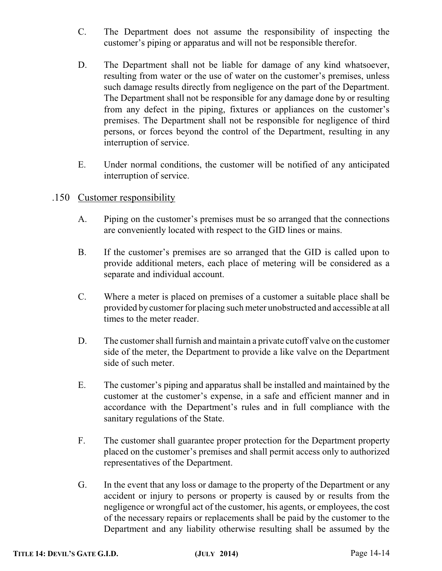- C. The Department does not assume the responsibility of inspecting the customer's piping or apparatus and will not be responsible therefor.
- D. The Department shall not be liable for damage of any kind whatsoever, resulting from water or the use of water on the customer's premises, unless such damage results directly from negligence on the part of the Department. The Department shall not be responsible for any damage done by or resulting from any defect in the piping, fixtures or appliances on the customer's premises. The Department shall not be responsible for negligence of third persons, or forces beyond the control of the Department, resulting in any interruption of service.
- E. Under normal conditions, the customer will be notified of any anticipated interruption of service.

## .150 Customer responsibility

- A. Piping on the customer's premises must be so arranged that the connections are conveniently located with respect to the GID lines or mains.
- B. If the customer's premises are so arranged that the GID is called upon to provide additional meters, each place of metering will be considered as a separate and individual account.
- C. Where a meter is placed on premises of a customer a suitable place shall be provided by customer for placing such meter unobstructed and accessible at all times to the meter reader.
- D. The customer shall furnish and maintain a private cutoff valve on the customer side of the meter, the Department to provide a like valve on the Department side of such meter.
- E. The customer's piping and apparatus shall be installed and maintained by the customer at the customer's expense, in a safe and efficient manner and in accordance with the Department's rules and in full compliance with the sanitary regulations of the State.
- F. The customer shall guarantee proper protection for the Department property placed on the customer's premises and shall permit access only to authorized representatives of the Department.
- G. In the event that any loss or damage to the property of the Department or any accident or injury to persons or property is caused by or results from the negligence or wrongful act of the customer, his agents, or employees, the cost of the necessary repairs or replacements shall be paid by the customer to the Department and any liability otherwise resulting shall be assumed by the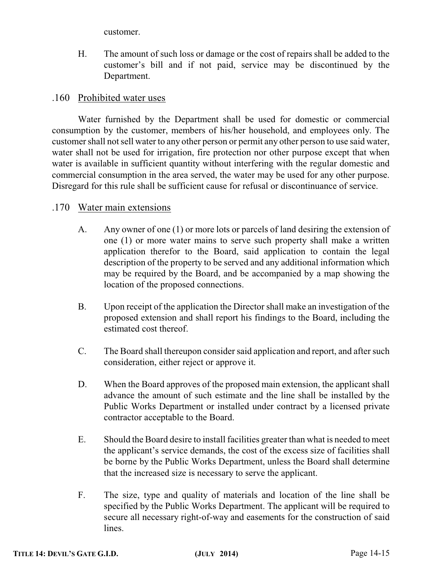customer.

H. The amount of such loss or damage or the cost of repairs shall be added to the customer's bill and if not paid, service may be discontinued by the Department.

## .160 Prohibited water uses

Water furnished by the Department shall be used for domestic or commercial consumption by the customer, members of his/her household, and employees only. The customer shall not sell water to any other person or permit any other person to use said water, water shall not be used for irrigation, fire protection nor other purpose except that when water is available in sufficient quantity without interfering with the regular domestic and commercial consumption in the area served, the water may be used for any other purpose. Disregard for this rule shall be sufficient cause for refusal or discontinuance of service.

# .170 Water main extensions

- A. Any owner of one (1) or more lots or parcels of land desiring the extension of one (1) or more water mains to serve such property shall make a written application therefor to the Board, said application to contain the legal description of the property to be served and any additional information which may be required by the Board, and be accompanied by a map showing the location of the proposed connections.
- B. Upon receipt of the application the Director shall make an investigation of the proposed extension and shall report his findings to the Board, including the estimated cost thereof.
- C. The Board shall thereupon consider said application and report, and after such consideration, either reject or approve it.
- D. When the Board approves of the proposed main extension, the applicant shall advance the amount of such estimate and the line shall be installed by the Public Works Department or installed under contract by a licensed private contractor acceptable to the Board.
- E. Should the Board desire to install facilities greater than what is needed to meet the applicant's service demands, the cost of the excess size of facilities shall be borne by the Public Works Department, unless the Board shall determine that the increased size is necessary to serve the applicant.
- F. The size, type and quality of materials and location of the line shall be specified by the Public Works Department. The applicant will be required to secure all necessary right-of-way and easements for the construction of said lines.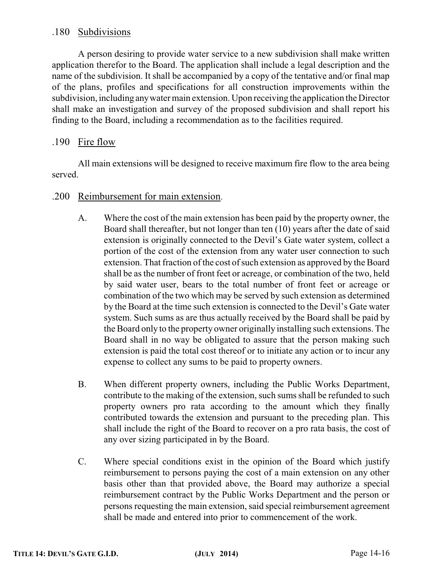# .180 Subdivisions

A person desiring to provide water service to a new subdivision shall make written application therefor to the Board. The application shall include a legal description and the name of the subdivision. It shall be accompanied by a copy of the tentative and/or final map of the plans, profiles and specifications for all construction improvements within the subdivision, including anywater main extension. Upon receiving the application the Director shall make an investigation and survey of the proposed subdivision and shall report his finding to the Board, including a recommendation as to the facilities required.

# .190 Fire flow

All main extensions will be designed to receive maximum fire flow to the area being served.

- .200 Reimbursement for main extension.
	- A. Where the cost of the main extension has been paid by the property owner, the Board shall thereafter, but not longer than ten (10) years after the date of said extension is originally connected to the Devil's Gate water system, collect a portion of the cost of the extension from any water user connection to such extension. That fraction of the cost of such extension as approved by the Board shall be as the number of front feet or acreage, or combination of the two, held by said water user, bears to the total number of front feet or acreage or combination of the two which may be served by such extension as determined by the Board at the time such extension is connected to the Devil's Gate water system. Such sums as are thus actually received by the Board shall be paid by the Board only to the property owner originally installing such extensions. The Board shall in no way be obligated to assure that the person making such extension is paid the total cost thereof or to initiate any action or to incur any expense to collect any sums to be paid to property owners.
	- B. When different property owners, including the Public Works Department, contribute to the making of the extension, such sums shall be refunded to such property owners pro rata according to the amount which they finally contributed towards the extension and pursuant to the preceding plan. This shall include the right of the Board to recover on a pro rata basis, the cost of any over sizing participated in by the Board.
	- C. Where special conditions exist in the opinion of the Board which justify reimbursement to persons paying the cost of a main extension on any other basis other than that provided above, the Board may authorize a special reimbursement contract by the Public Works Department and the person or persons requesting the main extension, said special reimbursement agreement shall be made and entered into prior to commencement of the work.